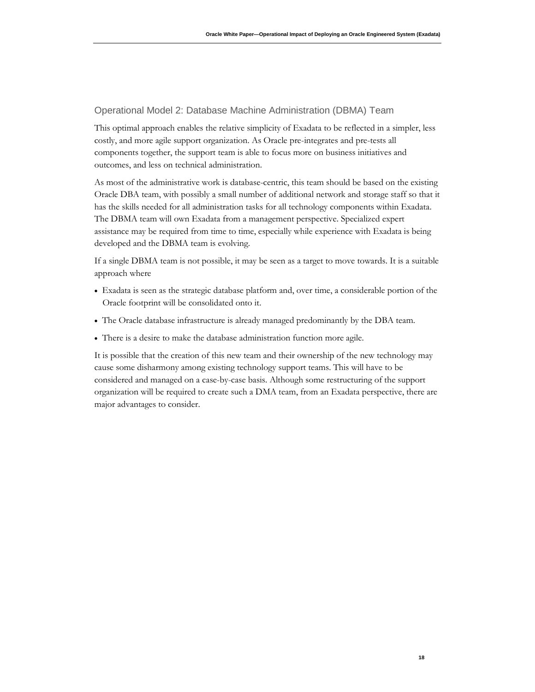### Operational Model 2: Database Machine Administration (DBMA) Team

 costly, and more agile support organization. As Oracle pre-integrates and pre-tests all This optimal approach enables the relative simplicity of Exadata to be reflected in a simpler, less components together, the support team is able to focus more on business initiatives and outcomes, and less on technical administration.

 Oracle DBA team, with possibly a small number of additional network and storage staff so that it The DBMA team will own Exadata from a management perspective. Specialized expert As most of the administrative work is database-centric, this team should be based on the existing has the skills needed for all administration tasks for all technology components within Exadata. assistance may be required from time to time, especially while experience with Exadata is being developed and the DBMA team is evolving.

 If a single DBMA team is not possible, it may be seen as a target to move towards. It is a suitable approach where

- • Exadata is seen as the strategic database platform and, over time, a considerable portion of the Oracle footprint will be consolidated onto it.
- The Oracle database infrastructure is already managed predominantly by the DBA team.
- There is a desire to make the database administration function more agile.

 It is possible that the creation of this new team and their ownership of the new technology may cause some disharmony among existing technology support teams. This will have to be considered and managed on a case-by-case basis. Although some restructuring of the support organization will be required to create such a DMA team, from an Exadata perspective, there are major advantages to consider.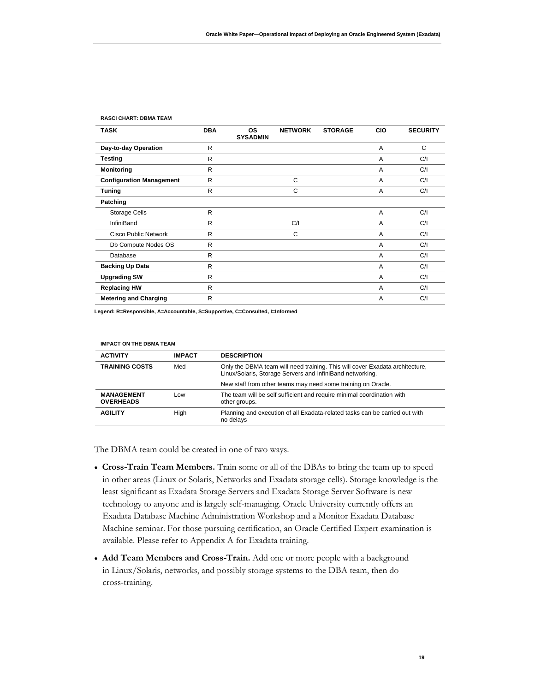| <b>TASK</b>                     | <b>DBA</b>   | <b>OS</b><br><b>SYSADMIN</b> | <b>NETWORK</b> | <b>STORAGE</b> | <b>CIO</b> | <b>SECURITY</b> |
|---------------------------------|--------------|------------------------------|----------------|----------------|------------|-----------------|
| Day-to-day Operation            | $\mathsf{R}$ |                              |                |                | A          | C               |
| <b>Testing</b>                  | R            |                              |                |                | A          | C/I             |
| <b>Monitoring</b>               | R            |                              |                |                | A          | C/I             |
| <b>Configuration Management</b> | R            |                              | C              |                | A          | C/I             |
| <b>Tuning</b>                   | R            |                              | C              |                | A          | C/I             |
| Patching                        |              |                              |                |                |            |                 |
| <b>Storage Cells</b>            | R            |                              |                |                | A          | C/I             |
| InfiniBand                      | R            |                              | C/I            |                | A          | C/I             |
| Cisco Public Network            | R            |                              | C              |                | A          | C/I             |
| Db Compute Nodes OS             | R            |                              |                |                | A          | C/I             |
| Database                        | R            |                              |                |                | A          | C/I             |
| <b>Backing Up Data</b>          | R            |                              |                |                | A          | C/I             |
| <b>Upgrading SW</b>             | R            |                              |                |                | A          | C/I             |
| <b>Replacing HW</b>             | R            |                              |                |                | A          | C/I             |
| <b>Metering and Charging</b>    | $\mathsf{R}$ |                              |                |                | A          | C/I             |

#### **RASCI CHART: DBMA TEAM**

**Legend: R=Responsible, A=Accountable, S=Supportive, C=Consulted, I=Informed** 

| <b>IMPACT ON THE DBMA TEAM</b>        |               |                                                                                                                                           |  |  |
|---------------------------------------|---------------|-------------------------------------------------------------------------------------------------------------------------------------------|--|--|
| <b>ACTIVITY</b>                       | <b>IMPACT</b> | <b>DESCRIPTION</b>                                                                                                                        |  |  |
| <b>TRAINING COSTS</b>                 | Med           | Only the DBMA team will need training. This will cover Exadata architecture,<br>Linux/Solaris, Storage Servers and InfiniBand networking. |  |  |
|                                       |               | New staff from other teams may need some training on Oracle.                                                                              |  |  |
| <b>MANAGEMENT</b><br><b>OVERHEADS</b> | Low           | The team will be self sufficient and require minimal coordination with<br>other groups.                                                   |  |  |
| <b>AGILITY</b>                        | High          | Planning and execution of all Exadata-related tasks can be carried out with<br>no delavs                                                  |  |  |

The DBMA team could be created in one of two ways.

- • **Cross-Train Team Members.** Train some or all of the DBAs to bring the team up to speed in other areas (Linux or Solaris, Networks and Exadata storage cells). Storage knowledge is the Machine seminar. For those pursuing certification, an Oracle Certified Expert examination is least significant as Exadata Storage Servers and Exadata Storage Server Software is new technology to anyone and is largely self-managing. Oracle University currently offers an Exadata Database Machine Administration Workshop and a Monitor Exadata Database available. Please refer to Appendix A for Exadata training.
- **Add Team Members and Cross-Train.** Add one or more people with a background in Linux/Solaris, networks, and possibly storage systems to the DBA team, then do cross-training.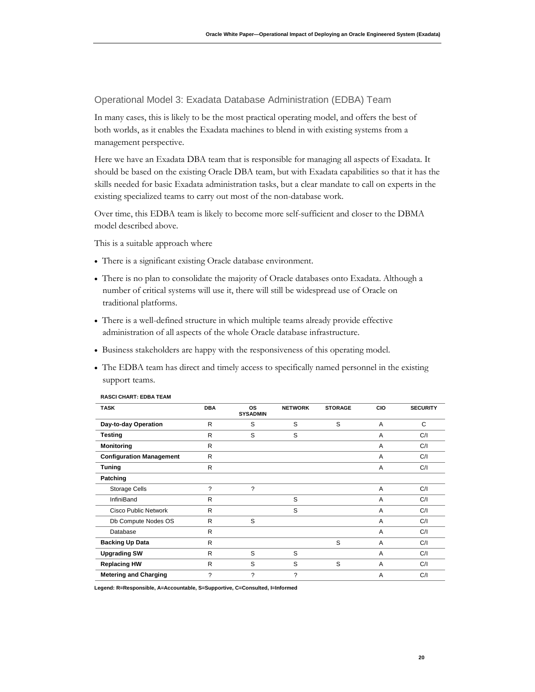Operational Model 3: Exadata Database Administration (EDBA) Team

 In many cases, this is likely to be the most practical operating model, and offers the best of both worlds, as it enables the Exadata machines to blend in with existing systems from a management perspective.

 Here we have an Exadata DBA team that is responsible for managing all aspects of Exadata. It should be based on the existing Oracle DBA team, but with Exadata capabilities so that it has the skills needed for basic Exadata administration tasks, but a clear mandate to call on experts in the existing specialized teams to carry out most of the non-database work.

 Over time, this EDBA team is likely to become more self-sufficient and closer to the DBMA model described above.

This is a suitable approach where

- There is a significant existing Oracle database environment.
- • There is no plan to consolidate the majority of Oracle databases onto Exadata. Although a number of critical systems will use it, there will still be widespread use of Oracle on traditional platforms.
- administration of all aspects of the whole Oracle database infrastructure. • There is a well-defined structure in which multiple teams already provide effective
- Business stakeholders are happy with the responsiveness of this operating model.
- • The EDBA team has direct and timely access to specifically named personnel in the existing support teams.

| <b>TASK</b>                     | <b>DBA</b>   | <b>OS</b><br><b>SYSADMIN</b> | <b>NETWORK</b> | <b>STORAGE</b> | <b>CIO</b> | <b>SECURITY</b> |
|---------------------------------|--------------|------------------------------|----------------|----------------|------------|-----------------|
| Day-to-day Operation            | R            | S                            | S              | S              | A          | C               |
| <b>Testing</b>                  | R            | S                            | S              |                | A          | C/I             |
| <b>Monitoring</b>               | R            |                              |                |                | A          | C/I             |
| <b>Configuration Management</b> | $\mathsf{R}$ |                              |                |                | A          | C/I             |
| <b>Tuning</b>                   | R            |                              |                |                | A          | C/I             |
| Patching                        |              |                              |                |                |            |                 |
| <b>Storage Cells</b>            | ?            | $\overline{\phantom{a}}$     |                |                | A          | C/I             |
| <b>InfiniBand</b>               | R            |                              | S              |                | A          | C/I             |
| <b>Cisco Public Network</b>     | R            |                              | S              |                | A          | C/I             |
| Db Compute Nodes OS             | R            | S                            |                |                | A          | C/I             |
| Database                        | R            |                              |                |                | A          | C/I             |
| <b>Backing Up Data</b>          | R            |                              |                | S              | A          | C/I             |
| <b>Upgrading SW</b>             | R            | S                            | S              |                | A          | C/I             |
| <b>Replacing HW</b>             | R            | S                            | S              | S              | A          | C/I             |
| <b>Metering and Charging</b>    | ?            | $\mathcal{P}$                | 2              |                | A          | C/1             |

#### **RASCI CHART: EDBA TEAM**

**Legend: R=Responsible, A=Accountable, S=Supportive, C=Consulted, I=Informed**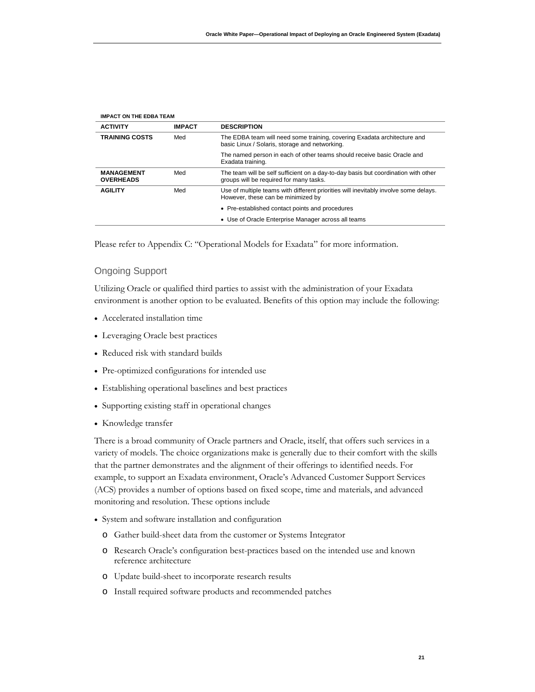| <b>IMPACT ON THE EDBA TEAM</b> |                                                                                                                               |  |
|--------------------------------|-------------------------------------------------------------------------------------------------------------------------------|--|
| <b>IMPACT</b>                  | <b>DESCRIPTION</b>                                                                                                            |  |
| Med                            | The EDBA team will need some training, covering Exadata architecture and<br>basic Linux / Solaris, storage and networking.    |  |
|                                | The named person in each of other teams should receive basic Oracle and<br>Exadata training.                                  |  |
| Med                            | The team will be self sufficient on a day-to-day basis but coordination with other<br>groups will be required for many tasks. |  |
| Med                            | Use of multiple teams with different priorities will inevitably involve some delays.<br>However, these can be minimized by    |  |
|                                | • Pre-established contact points and procedures                                                                               |  |
|                                | • Use of Oracle Enterprise Manager across all teams                                                                           |  |
|                                |                                                                                                                               |  |

Please refer to Appendix C: "Operational Models for Exadata" for more information.

#### Ongoing Support

 Utilizing Oracle or qualified third parties to assist with the administration of your Exadata environment is another option to be evaluated. Benefits of this option may include the following:

- Accelerated installation time
- Leveraging Oracle best practices
- Reduced risk with standard builds
- Pre-optimized configurations for intended use
- Establishing operational baselines and best practices
- Supporting existing staff in operational changes
- Knowledge transfer

 There is a broad community of Oracle partners and Oracle, itself, that offers such services in a variety of models. The choice organizations make is generally due to their comfort with the skills that the partner demonstrates and the alignment of their offerings to identified needs. For (ACS) provides a number of options based on fixed scope, time and materials, and advanced example, to support an Exadata environment, Oracle's Advanced Customer Support Services monitoring and resolution. These options include

- System and software installation and configuration
	- o Gather build-sheet data from the customer or Systems Integrator
	- o Research Oracle's configuration best-practices based on the intended use and known reference architecture
	- o Update build-sheet to incorporate research results
	- o Install required software products and recommended patches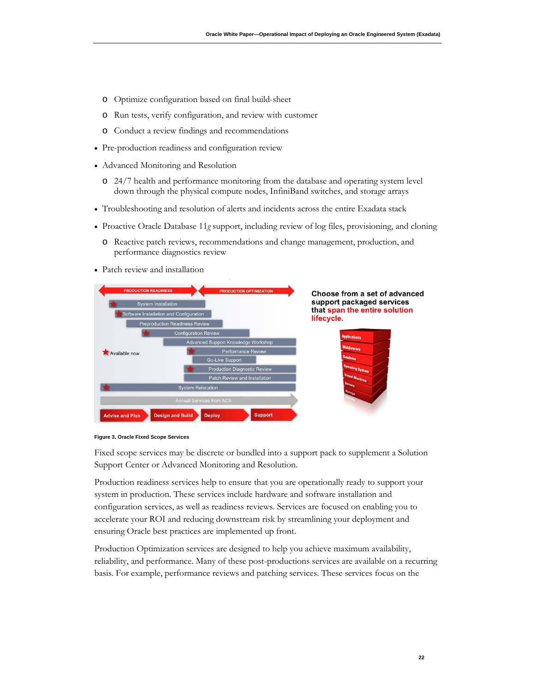- o Optimize configuration based on final build-sheet
- o Run tests, verify configuration, and review with customer
- o Conduct a review findings and recommendations
- Pre-production readiness and configuration review
- Advanced Monitoring and Resolution
	- down through the physical compute nodes, InfiniBand switches, and storage arrays o 24/7 health and performance monitoring from the database and operating system level
- Troubleshooting and resolution of alerts and incidents across the entire Exadata stack
- Proactive Oracle Database 11*g* support, including review of log files, provisioning, and cloning
	- o Reactive patch reviews, recommendations and change management, production, and performance diagnostics review
- Patch review and installation





Fixed scope services may be discrete or bundled into a support pack to supplement a Solution Support Center or Advanced Monitoring and Resolution.

 Production readiness services help to ensure that you are operationally ready to support your ensuring Oracle best practices are implemented up front. system in production. These services include hardware and software installation and configuration services, as well as readiness reviews. Services are focused on enabling you to accelerate your ROI and reducing downstream risk by streamlining your deployment and

 basis. For example, performance reviews and patching services. These services focus on the Production Optimization services are designed to help you achieve maximum availability, reliability, and performance. Many of these post-productions services are available on a recurring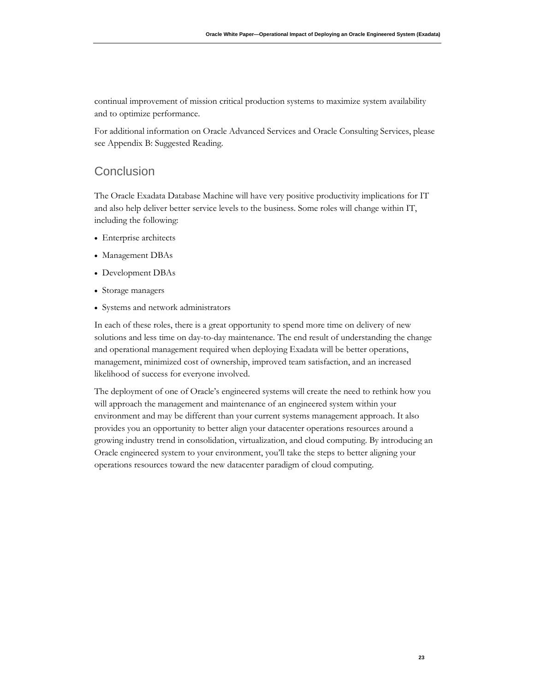continual improvement of mission critical production systems to maximize system availability and to optimize performance.

For additional information on Oracle Advanced Services and Oracle Consulting Services, please see Appendix B: Suggested Reading.

### **Conclusion**

 and also help deliver better service levels to the business. Some roles will change within IT, The Oracle Exadata Database Machine will have very positive productivity implications for IT including the following:

- Enterprise architects
- Management DBAs
- Development DBAs
- Storage managers
- Systems and network administrators

 solutions and less time on day-to-day maintenance. The end result of understanding the change In each of these roles, there is a great opportunity to spend more time on delivery of new and operational management required when deploying Exadata will be better operations, management, minimized cost of ownership, improved team satisfaction, and an increased likelihood of success for everyone involved.

 The deployment of one of Oracle's engineered systems will create the need to rethink how you will approach the management and maintenance of an engineered system within your Oracle engineered system to your environment, you'll take the steps to better aligning your environment and may be different than your current systems management approach. It also provides you an opportunity to better align your datacenter operations resources around a growing industry trend in consolidation, virtualization, and cloud computing. By introducing an operations resources toward the new datacenter paradigm of cloud computing.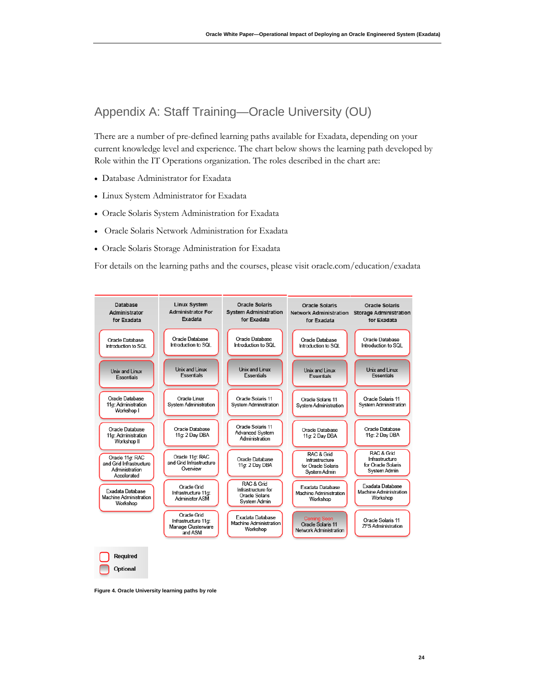## Appendix A: Staff Training—Oracle University (OU)

 There are a number of pre-defined learning paths available for Exadata, depending on your current knowledge level and experience. The chart below shows the learning path developed by Role within the IT Operations organization. The roles described in the chart are:

- Database Administrator for Exadata
- Linux System Administrator for Exadata
- Oracle Solaris System Administration for Exadata
- Oracle Solaris Network Administration for Exadata
- Oracle Solaris Storage Administration for Exadata

For details on the learning paths and the courses, please visit oracle.com/education/exadata



**Figure 4. Oracle University learning paths by role**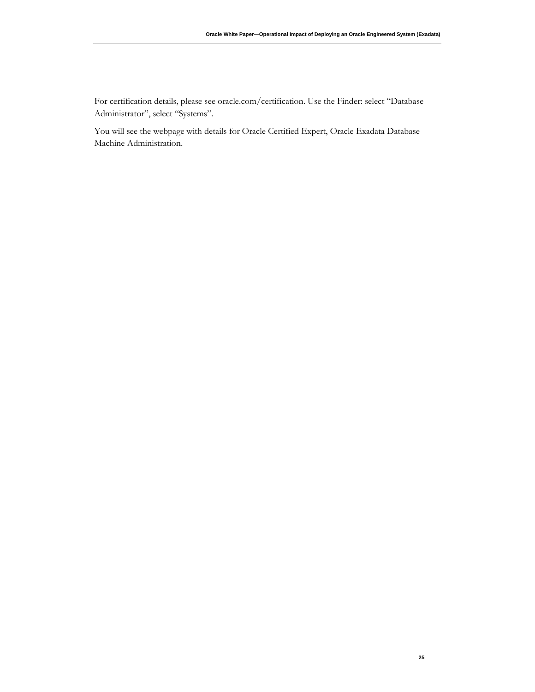For certification details, please see oracle.com/certification. Use the Finder: select "Database Administrator", select "Systems".

 You will see the webpage with details for Oracle Certified Expert, Oracle Exadata Database Machine Administration.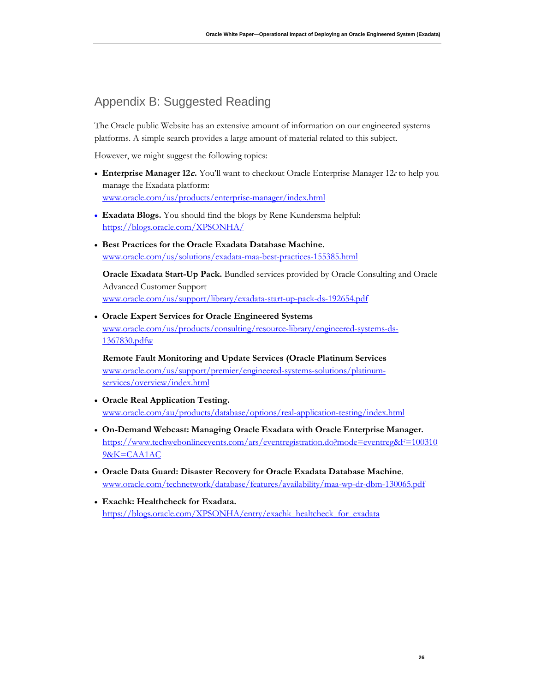## Appendix B: Suggested Reading

 platforms. A simple search provides a large amount of material related to this subject. The Oracle public Website has an extensive amount of information on our engineered systems

However, we might suggest the following topics:

- manage the Exadata platform: • **Enterprise Manager 12**c**.** You'll want to checkout Oracle Enterprise Manager 12*c* to help you www.oracle.com/us/products/enterprise-manager/index.html
- **Exadata Blogs.** You should find the blogs by Rene Kundersma helpful: <https://blogs.oracle.com/XPSONHA/>
- **Best Practices for the Oracle Exadata Database Machine.**  [www.oracle.com/us/solutions/exadata-maa-best-practices-155385.html](http://www.oracle.com/us/solutions/exadata-maa-best-practices-155385.html)

**Oracle Exadata Start-Up Pack.** Bundled services provided by Oracle Consulting and Oracle Advanced Customer Support [www.oracle.com/us/support/library/exadata-start-up-pack-ds-192654.pdf](http://www.oracle.com/us/support/library/exadata-start-up-pack-ds-192654.pdf) 

• **Oracle Expert Services for Oracle Engineered Systems**  [www.oracle.com/us/products/consulting/resource-library/engineered-systems-ds-](http://www.oracle.com/us/products/consulting/resource-library/engineered-systems-ds-1367830.pdfw)[1367830.pdfw](http://www.oracle.com/us/products/consulting/resource-library/engineered-systems-ds-1367830.pdfw) 

**Remote Fault Monitoring and Update Services (Oracle Platinum Services**  [www.oracle.com/us/support/premier/engineered-systems-solutions/platinum](http://www.oracle.com/us/support/premier/engineered-systems-solutions/platinum-services/overview/index.html)[services/overview/index.html](http://www.oracle.com/us/support/premier/engineered-systems-solutions/platinum-services/overview/index.html) 

- **Oracle Real Application Testing.**  www.oracle.com/au/products/database/options/real-application-testing/index.html
- **On-Demand Webcast: Managing Oracle Exadata with Oracle Enterprise Manager.**  [https://www.techwebonlineevents.com/ars/eventregistration.do?mode=eventreg&F=100310](https://www.techwebonlineevents.com/ars/eventregistration.do?mode=eventreg&F=1003109&K=CAA1AC)  [9&K=CAA1AC](https://www.techwebonlineevents.com/ars/eventregistration.do?mode=eventreg&F=1003109&K=CAA1AC)
- **Oracle Data Guard: Disaster Recovery for Oracle Exadata Database Machine**. [www.oracle.com/technetwork/database/features/availability/maa-wp-dr-dbm-130065.pdf](http://www.oracle.com/technetwork/database/features/availability/maa-wp-dr-dbm-130065.pdf)
- **Exachk: Healthcheck for Exadata.**  [https://blogs.oracle.com/XPSONHA/entry/exachk\\_healtcheck\\_for\\_exadata](https://blogs.oracle.com/XPSONHA/entry/exachk_healtcheck_for_exadata)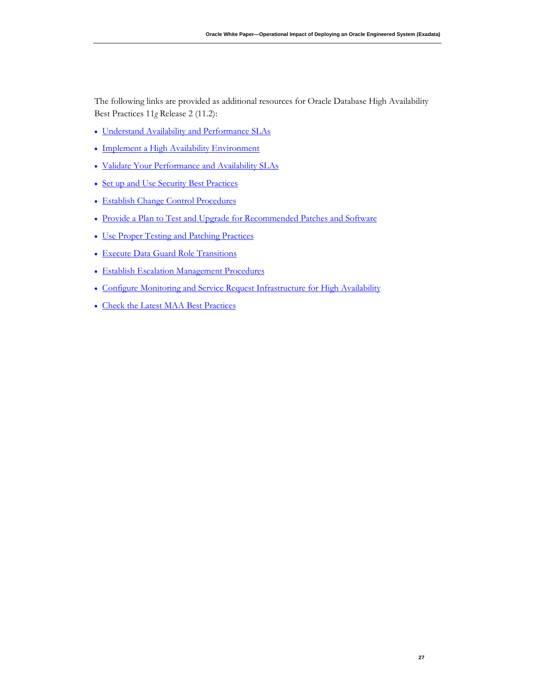The following links are provided as additional resources for Oracle Database High Availability Best Practices 11*g* Release 2 (11.2):

- [Understand Availability and Performance SLAs](http://docs.oracle.com/cd/E11882_01/server.112/e10803/operational_bps.htm#CHDBEJEG)
- [Implement a High Availability Environment](http://docs.oracle.com/cd/E11882_01/server.112/e10803/operational_bps.htm#CHDGJACA)
- Validate Your Performance and Availability SLAs
- [Set up and Use Security Best Practices](http://docs.oracle.com/cd/E11882_01/server.112/e10803/operational_bps.htm#CHDFICJB)
- [Establish Change Control Procedures](http://docs.oracle.com/cd/E11882_01/server.112/e10803/operational_bps.htm#CHDBCGHG)
- [Provide a Plan to Test and Upgrade for Recommended Patches and Software](http://docs.oracle.com/cd/E11882_01/server.112/e10803/operational_bps.htm#CHDFDECG)
- Use Proper Testing and Patching Practices
- [Execute Data Guard Role Transitions](http://docs.oracle.com/cd/E11882_01/server.112/e10803/operational_bps.htm#CHDGGIAI)
- [Establish Escalation Management Procedures](http://docs.oracle.com/cd/E11882_01/server.112/e10803/operational_bps.htm#BACJBCBC)
- [Configure Monitoring and Service Request Infrastructure for High Availability](http://docs.oracle.com/cd/E11882_01/server.112/e10803/operational_bps.htm#CHDEDHEG)
- [Check the Latest MAA Best Practices](http://docs.oracle.com/cd/E11882_01/server.112/e10803/operational_bps.htm#CHDFGCJE)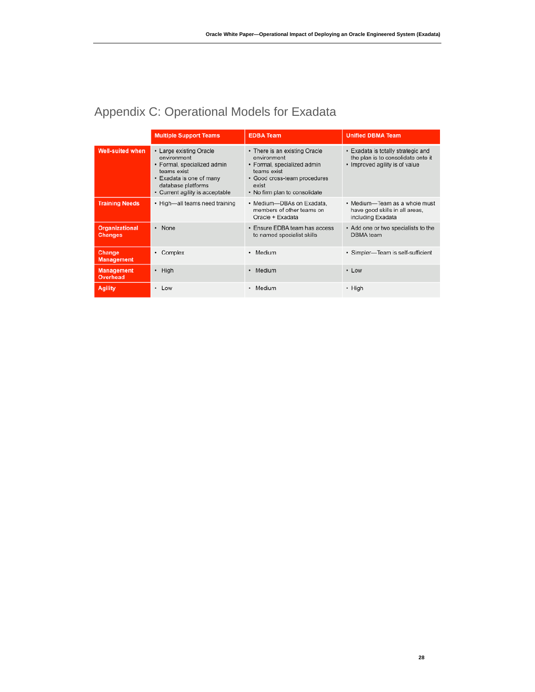|                                         | <b>Multiple Support Teams</b>                                                                                                                                             | <b>EDBA Team</b>                                                                                                                                                     | <b>Unified DBMA Team</b>                                                                                   |
|-----------------------------------------|---------------------------------------------------------------------------------------------------------------------------------------------------------------------------|----------------------------------------------------------------------------------------------------------------------------------------------------------------------|------------------------------------------------------------------------------------------------------------|
| <b>Well-suited when</b>                 | • Large existing Oracle<br>environment<br>• Formal, specialized admin<br>teams exist<br>• Exadata is one of many<br>database platforms<br>• Current agility is acceptable | • There is an existing Oracle<br>environment<br>• Formal, specialized admin<br>teams exist<br>• Good cross-team procedures<br>exist<br>• No firm plan to consolidate | • Exadata is totally strategic and<br>the plan is to consolidate onto it<br>• Improved agility is of value |
| <b>Training Needs</b>                   | • High-all teams need training                                                                                                                                            | • Medium-DBAs on Exadata.<br>members of other teams on<br>Oracle + Exadata                                                                                           | • Medium-Team as a whole must<br>have good skills in all areas,<br>including Exadata                       |
| <b>Organizational</b><br><b>Changes</b> | • None                                                                                                                                                                    | • Ensure EDBA team has access<br>to named specialist skills                                                                                                          | • Add one or two specialists to the<br>DBMA team                                                           |
| Change<br><b>Management</b>             | Complex<br>٠                                                                                                                                                              | • Medium                                                                                                                                                             | · Simpler-Team is self-sufficient                                                                          |
| <b>Management</b><br><b>Overhead</b>    | $\cdot$ High                                                                                                                                                              | • Medium                                                                                                                                                             | • Low                                                                                                      |
| <b>Agility</b>                          | • Low                                                                                                                                                                     | • Medium                                                                                                                                                             | • High                                                                                                     |

# Appendix C: Operational Models for Exadata